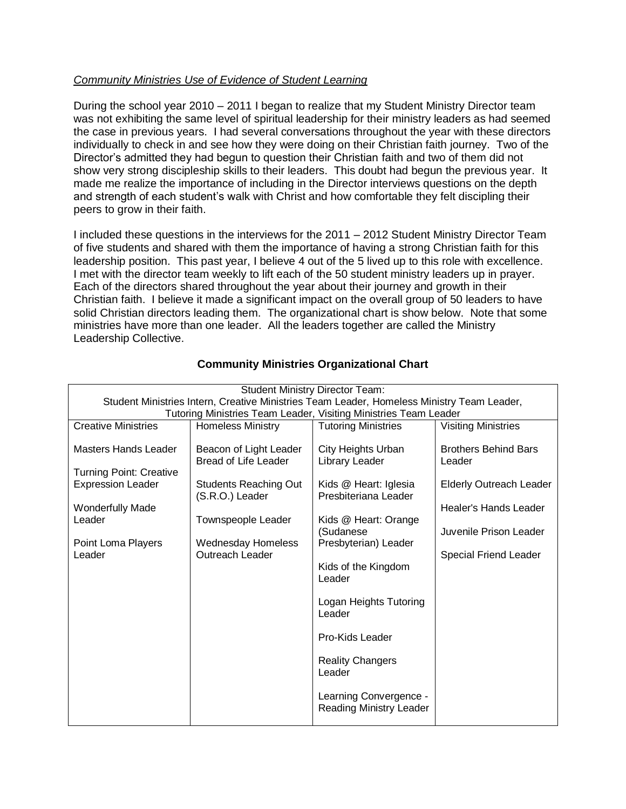## *Community Ministries Use of Evidence of Student Learning*

During the school year 2010 – 2011 I began to realize that my Student Ministry Director team was not exhibiting the same level of spiritual leadership for their ministry leaders as had seemed the case in previous years. I had several conversations throughout the year with these directors individually to check in and see how they were doing on their Christian faith journey. Two of the Director's admitted they had begun to question their Christian faith and two of them did not show very strong discipleship skills to their leaders. This doubt had begun the previous year. It made me realize the importance of including in the Director interviews questions on the depth and strength of each student's walk with Christ and how comfortable they felt discipling their peers to grow in their faith.

I included these questions in the interviews for the 2011 – 2012 Student Ministry Director Team of five students and shared with them the importance of having a strong Christian faith for this leadership position. This past year, I believe 4 out of the 5 lived up to this role with excellence. I met with the director team weekly to lift each of the 50 student ministry leaders up in prayer. Each of the directors shared throughout the year about their journey and growth in their Christian faith. I believe it made a significant impact on the overall group of 50 leaders to have solid Christian directors leading them. The organizational chart is show below. Note that some ministries have more than one leader. All the leaders together are called the Ministry Leadership Collective.

| <b>Student Ministry Director Team:</b>                                                                                                                                         |                                                                                                                                                                                                                                                                                                                                             |                                                                                                                                                            |
|--------------------------------------------------------------------------------------------------------------------------------------------------------------------------------|---------------------------------------------------------------------------------------------------------------------------------------------------------------------------------------------------------------------------------------------------------------------------------------------------------------------------------------------|------------------------------------------------------------------------------------------------------------------------------------------------------------|
| Student Ministries Intern, Creative Ministries Team Leader, Homeless Ministry Team Leader,                                                                                     |                                                                                                                                                                                                                                                                                                                                             |                                                                                                                                                            |
| Tutoring Ministries Team Leader, Visiting Ministries Team Leader<br><b>Creative Ministries</b>                                                                                 |                                                                                                                                                                                                                                                                                                                                             |                                                                                                                                                            |
|                                                                                                                                                                                |                                                                                                                                                                                                                                                                                                                                             | <b>Visiting Ministries</b>                                                                                                                                 |
| Beacon of Light Leader<br><b>Bread of Life Leader</b><br><b>Students Reaching Out</b><br>(S.R.O.) Leader<br>Townspeople Leader<br><b>Wednesday Homeless</b><br>Outreach Leader | City Heights Urban<br>Library Leader<br>Kids @ Heart: Iglesia<br>Presbiteriana Leader<br>Kids @ Heart: Orange<br>(Sudanese<br>Presbyterian) Leader<br>Kids of the Kingdom<br>Leader<br>Logan Heights Tutoring<br>Leader<br>Pro-Kids Leader<br><b>Reality Changers</b><br>Leader<br>Learning Convergence -<br><b>Reading Ministry Leader</b> | <b>Brothers Behind Bars</b><br>Leader<br><b>Elderly Outreach Leader</b><br>Healer's Hands Leader<br>Juvenile Prison Leader<br><b>Special Friend Leader</b> |
|                                                                                                                                                                                |                                                                                                                                                                                                                                                                                                                                             |                                                                                                                                                            |
|                                                                                                                                                                                | <b>Homeless Ministry</b>                                                                                                                                                                                                                                                                                                                    | <b>Tutoring Ministries</b>                                                                                                                                 |

## **Community Ministries Organizational Chart**